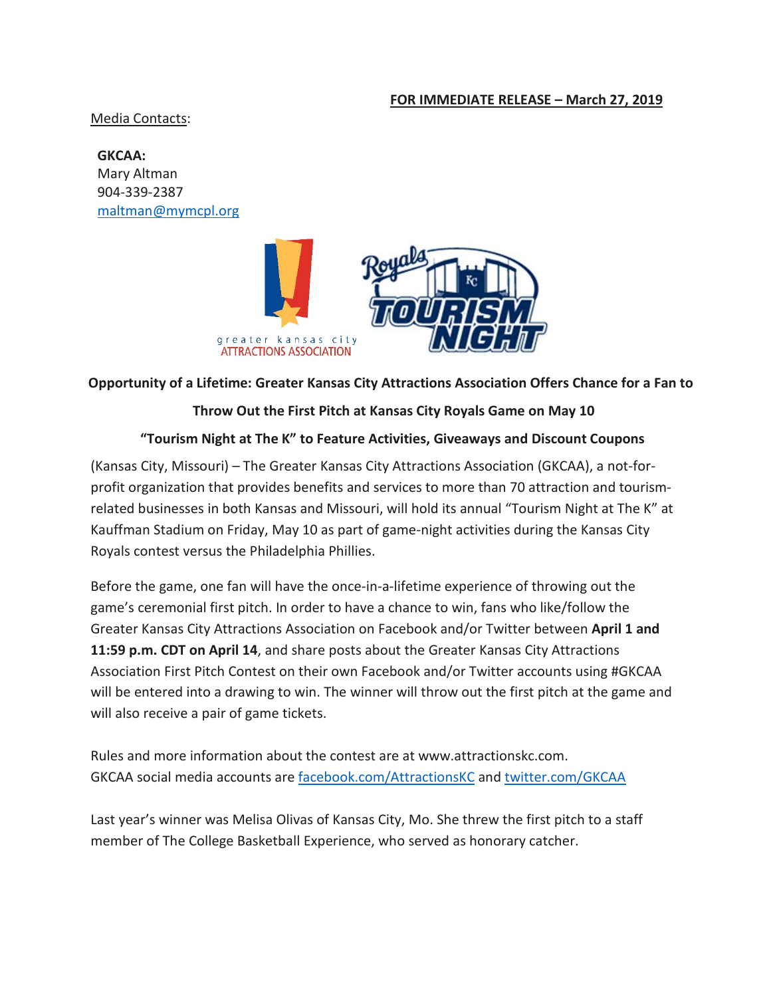#### **FOR IMMEDIATE RELEASE – March 27, 2019**

Media Contacts:

**GKCAA:**  Mary Altman 904-339-2387 [maltman@mymcpl.org](mailto:maltman@mymcpl.org)



# **Opportunity of a Lifetime: Greater Kansas City Attractions Association Offers Chance for a Fan to**

### **Throw Out the First Pitch at Kansas City Royals Game on May 10**

## **"Tourism Night at The K" to Feature Activities, Giveaways and Discount Coupons**

(Kansas City, Missouri) – The Greater Kansas City Attractions Association (GKCAA), a not-forprofit organization that provides benefits and services to more than 70 attraction and tourismrelated businesses in both Kansas and Missouri, will hold its annual "Tourism Night at The K" at Kauffman Stadium on Friday, May 10 as part of game-night activities during the Kansas City Royals contest versus the Philadelphia Phillies.

Before the game, one fan will have the once-in-a-lifetime experience of throwing out the game's ceremonial first pitch. In order to have a chance to win, fans who like/follow the Greater Kansas City Attractions Association on Facebook and/or Twitter between **April 1 and 11:59 p.m. CDT on April 14**, and share posts about the Greater Kansas City Attractions Association First Pitch Contest on their own Facebook and/or Twitter accounts using #GKCAA will be entered into a drawing to win. The winner will throw out the first pitch at the game and will also receive a pair of game tickets.

Rules and more information about the contest are at www.attractionskc.com. GKCAA social media accounts are [facebook.com/AttractionsKC](https://www.facebook.com/AttractionsKC/) and [twitter.com/GKCAA](https://twitter.com/GKCAA)

Last year's winner was Melisa Olivas of Kansas City, Mo. She threw the first pitch to a staff member of The College Basketball Experience, who served as honorary catcher.